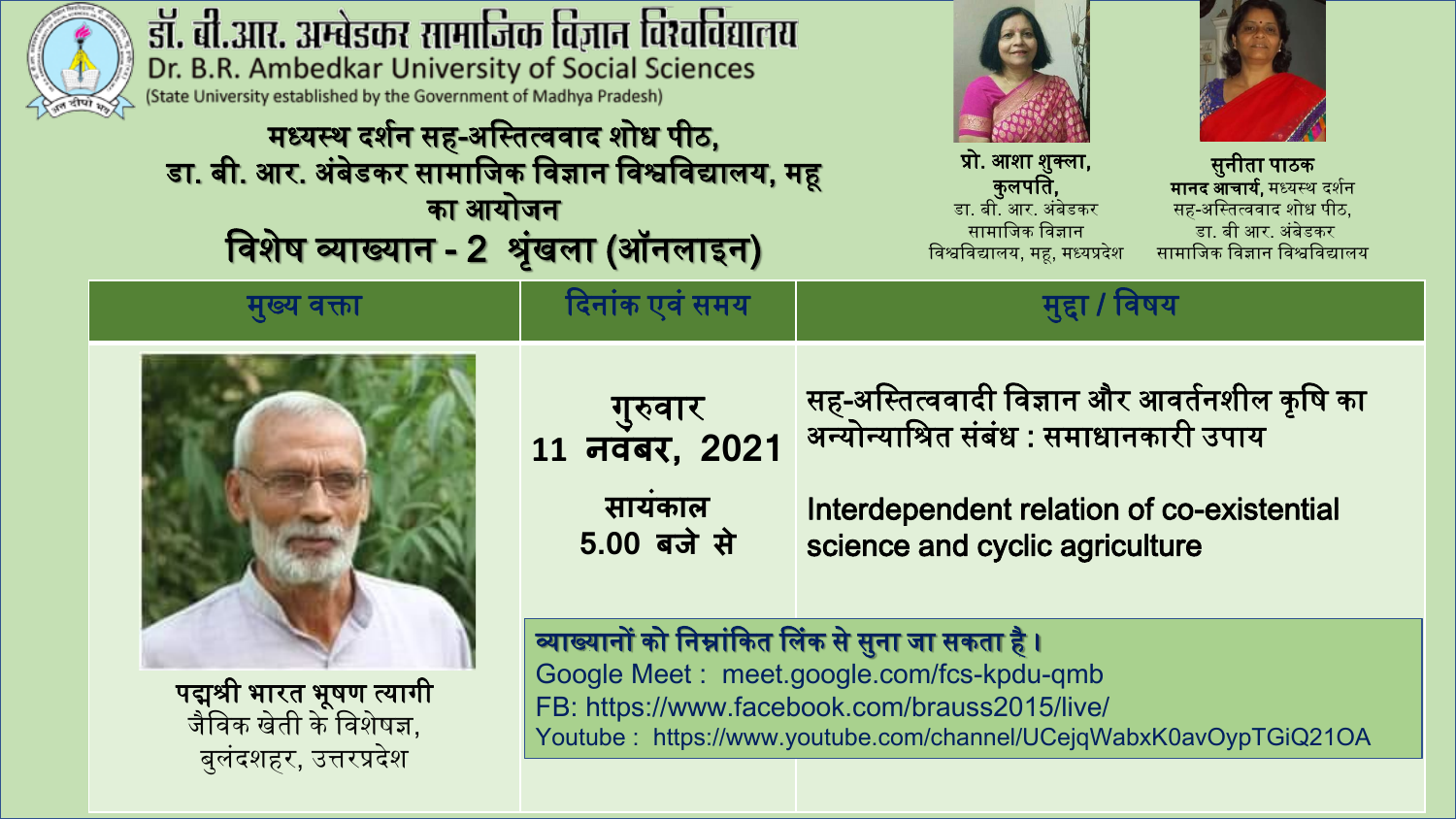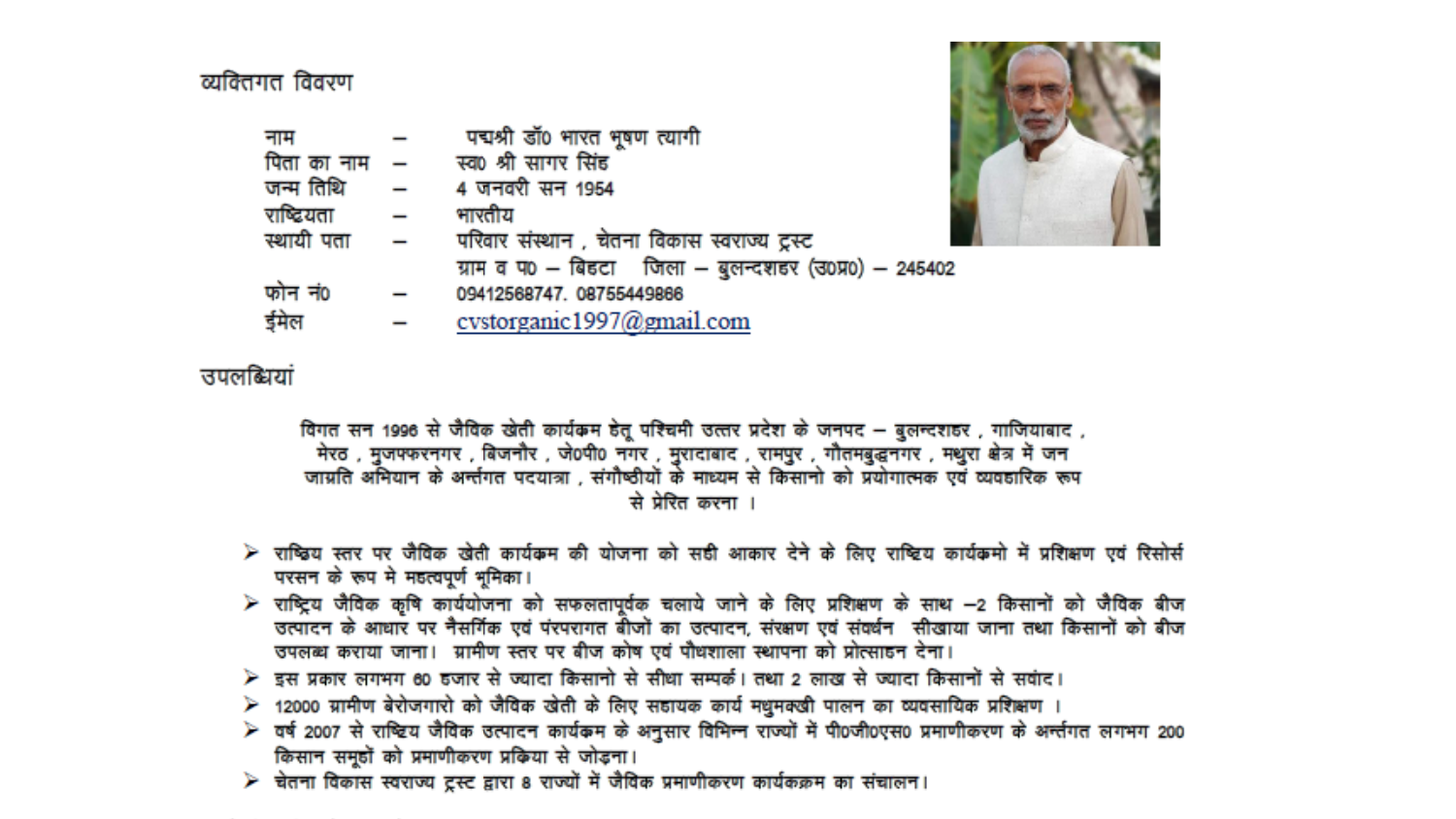व्यक्तिगत विवरण

| नाम         |                          | पद्मश्री डॉ0 भारत भूषण त्यागी                         |
|-------------|--------------------------|-------------------------------------------------------|
| पिता का नाम |                          | स्व0 श्री सागर सिंह                                   |
| जन्म तिथि   |                          | 4 जनवरी सन 1954                                       |
| राष्ट्रियता | $\overline{\phantom{a}}$ | भारतीय                                                |
| स्थायी पता  | Ē,                       | परिवार संस्थान , चेतना विकास स्वराज्य ट्रस्ट          |
|             |                          | ग्राम व प0 – बिहटा जिला – बुलन्दशहर (उ०प्र0) – 245402 |
| फोन नं0     |                          | 09412568747. 08755449866                              |
| ईमेल        |                          | cystorganic1997@gmail.com                             |



तपलब्धियां

, विगत सन 1996 से जैविक खेती कार्यक्रम डेतू पश्चिमी उत्तर प्रदेश के जनपद – बुलन्दशहर , गाजियाबाद मेरठ, मुजफ्फरनगर, बिजनौर, जे0पी0 नगर, मुरादाबाद, रामपुर, गौतमबुद्धनगर, मधुरा क्षेत्र में जन जाग्रति अभियान के अन्तगत पदयात्रा , संगौष्ठीयों के माध्यम से किसानो को प्रयोगात्मक एवं व्यवहारिक रूप से प्रेरित करना ।

- ⊁ राष्ट्रिय स्तर पर जैविक खेती कार्यक्रम की योजना को सही आकार देने के लिए राष्ट्रिय कार्यक्रमो में प्रशिक्षण एवं रिसोर्स परसन के रूप मे महत्वपूर्ण भूमिका।
- $\triangleright$  राष्ट्रिय जैविक कृषि कार्ययोजना को सफलतापूर्वक चलाये जाने के लिए प्रशिक्षण के साथ –2 किसानों को जैविक बीज उत्पादन के आधार पर नैसर्गिक एवं पंरपरागत बीजों का उत्पादन, संरक्षण एवं संवर्धन) सीखाया जाना तथा किसानों को बीज उपलब्ध कराया जाना। ग्रामीण स्तर पर बीज कोष एवं पौधशाला स्थापना को प्रोत्साहन देना।
- े इस प्रकार लगभग 60 हजार से ज्यादा किसानो से सीधा सम्पर्क। तथा 2 लाख से ज्यादा किसानों से सवांद।
- $\triangleright$  12000 ग्रामीण बेरोजगारो को जैविक खेती के लिए सहायक कार्य मधुमक्खी पालन का व्यवसायिक प्रशिक्षण ।
- ⊁ वर्ष 2007 से राष्ट्रिय जैविक उत्पादन कार्यक्रम के अनुसार विभिन्न राज्यों में पी0जी0एस0 प्रमाणीकरण के अर्न्तगत लगभग 200 किसान समुडों को प्रमाणीकरण प्रकिया से जोड़ना।
- ≻ चेतना विकास स्वराज्य ट्रस्ट द्वारा 8 राज्यों में जैविक प्रमाणीकरण कार्यकक्रम का संचालन।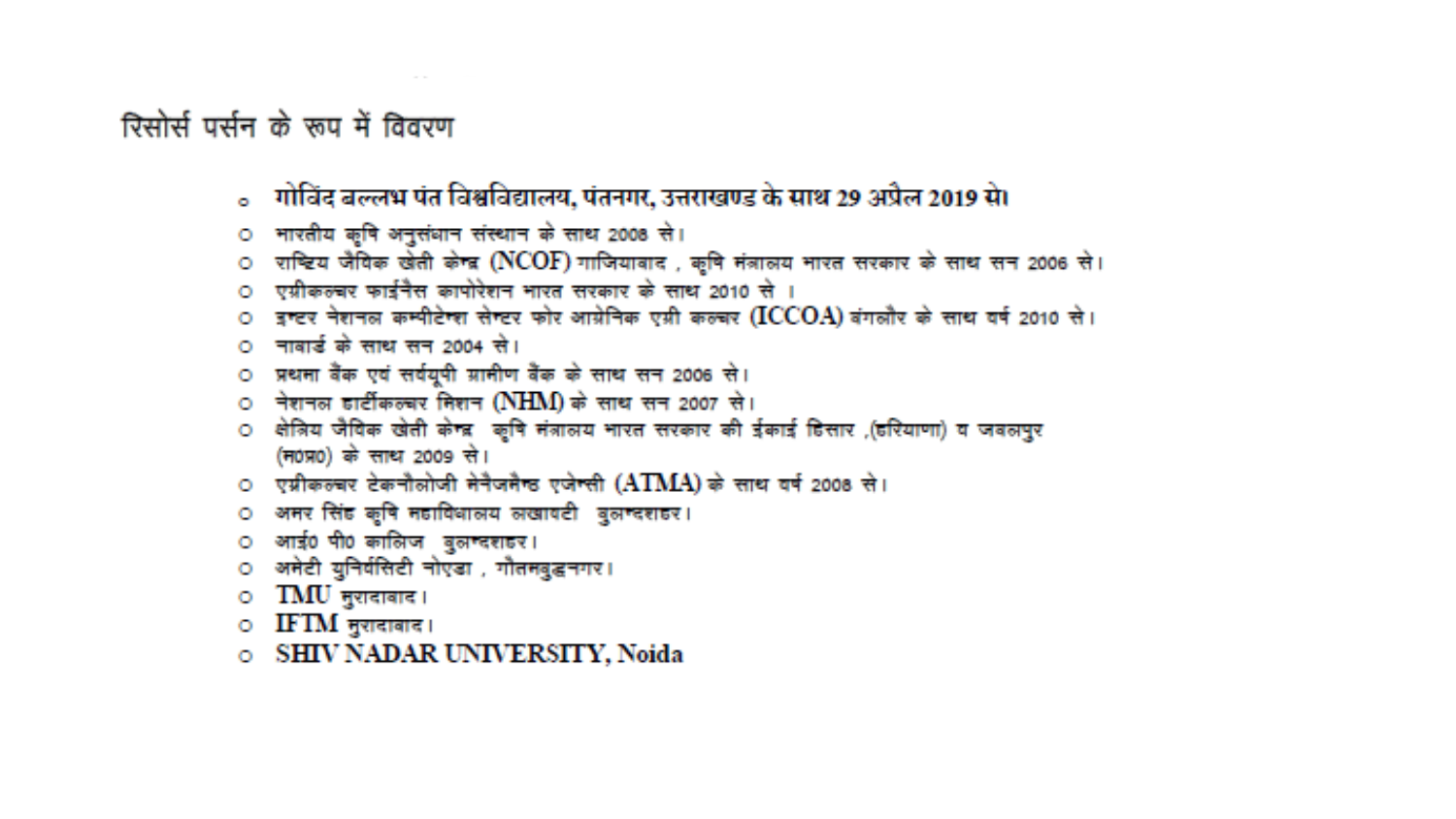रिसोर्स पर्सन के रूप में विवरण

- . गोविंद बल्लभ पंत विश्वविद्यालय, पंतनगर, उत्तराखण्ड के साथ 29 अप्रैल 2019 से। 0 भारतीय कृषि अनुसंधान संस्थान के साथ 2008 से। 0 राष्ट्रिय जैविक खेती केन्द्र (NCOF) गाजियावाद , कृषि मंत्रालय भारत सरकार के साथ सन 2006 से। 0 एग्नीकल्चर फार्डनैस कार्पोरेशन भारत सरकार के साथ 2010 से । 0 इन्टर नेशनल कम्पीटेन्श सेन्टर फोर आग्नेनिक एग्नी कल्चर (ICCOA) बंगलौर के साथ वर्ष 2010 से। . नाबार्ज के साथ सन 2004 से। 0 प्रथमा वैंक एवं सर्वयूपी ग्रामीण बैंक के साथ सन 2006 से। 0 नेशनल डार्टीकल्चर निशन (NHM) के साथ सन 2007 से। ा क्षेत्रिय जैविक खेती केन्द्र कृषि मंत्रालय भारत सरकार की ईकाई डिसार (डरियाणा) व जबलपुर (म0प्र0) के साथ 2009 से। 0 एम्रीकल्चर टेकनौलोजी नेनैजनैन्ड एजेन्सी (ATMA) के साथ वर्ष 2008 से। o अनर सिंह कृषि नहाविधालय लखावटी बुलन्दशहर। ं आई0 पी0 कालिज बुलन्दशहर। 0 अमेटी युनिर्यसिटी नोएडा , गौतमबुद्धनगर।  $\circ$  TMU नुशदाबाद। **O** IFTM मुरादाबाद।
- **SHIV NADAR UNIVERSITY, Noida**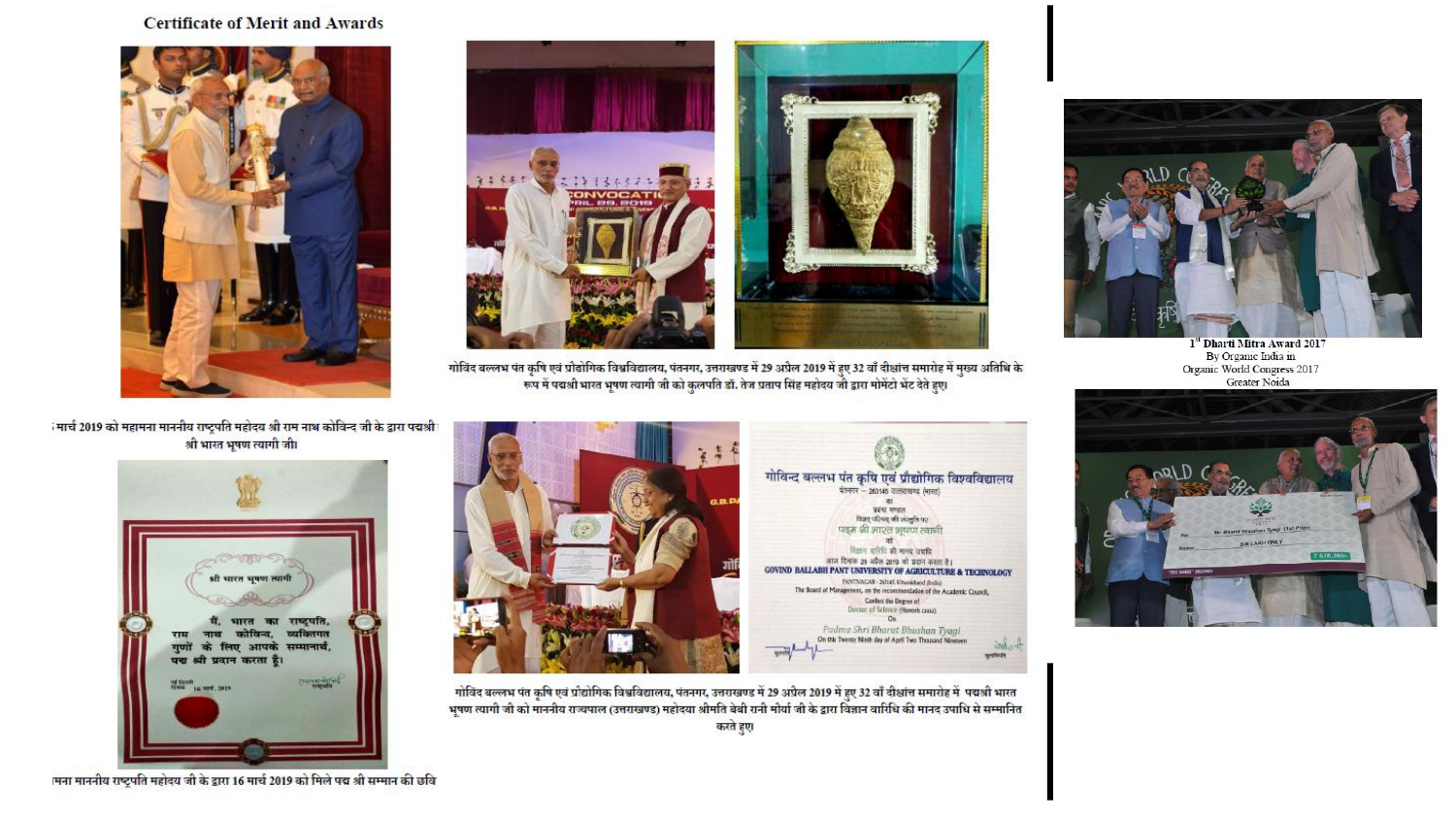## **Certificate of Merit and Awards**





गोविंद बल्लभ पंत कृषि एवं प्रौद्योगिक विश्वविद्यालय, पंतनगर, उत्तराखण्ड में 29 अप्रैल 2019 में हुए 32 वाँ दीक्षांत्त समारोह में मुख्य अतिथि के रूप में पद्मश्री भारत भूषण त्यागी जी को कलपति डॉ. तेज प्रताप सिंह महोदय जी द्वारा मोमेंटो भेंट देते हुए।

का yes aven

वरे

index of systecty



1st Dharti Mitra Award 2017 By Organic India in Organic World Congress 2017 Greater Noida





ंमार्च 2019 को महामना माननीय राष्ट्रपति महोदय श्री राम नाथ कोविन्द जी के द्वारा पद्मश्री





गोविंद बल्लभ पंत कृषि एवं प्रौद्योगिक विश्वविद्यालय, पंतनगर, उत्तराखण्ड में 29 अप्रैल 2019 में हुए 32 वाँ दीक्षांत समारोह में पद्मश्री भारत भषण त्यागी जी को माननीय राज्यपाल (उत्तराखण्ड) महोदया श्रीमति बेबी रानी मौर्या जी के द्वारा विज्ञान वारिधि की मानद उपाधि से सम्मानित

करते हए।

मना माननीय राष्ट्रपति महोदय जी के द्वारा 16 मार्च 2019 को मिले पद्म श्री सम्मान की छवि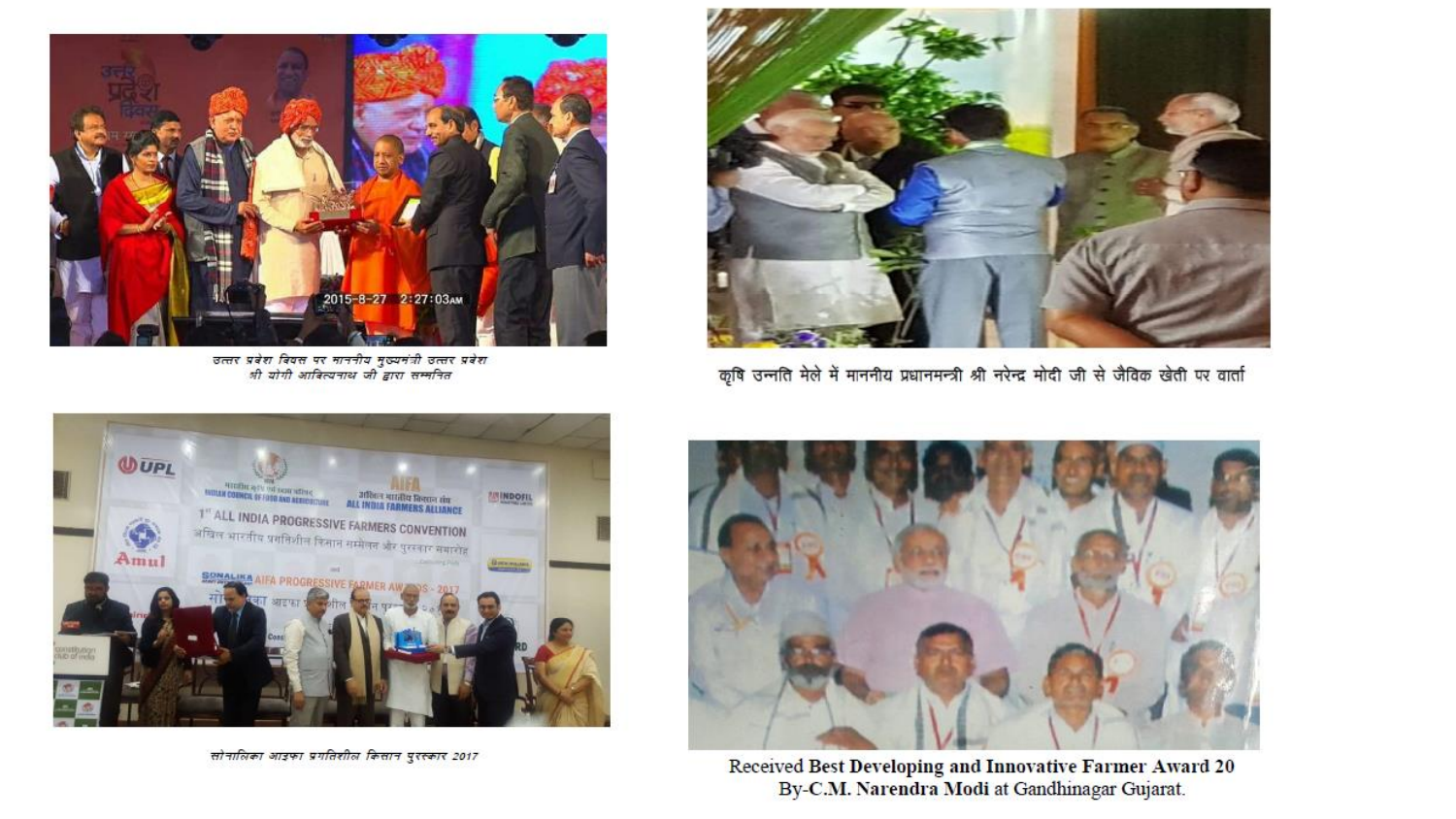

उत्तर प्रबेश विषस पर माननीय मुख्यमंत्री उत्तर प्रबेश<br>श्री योगी आवित्यनाथ जी द्वारा सम्मनित



कृषि उन्नति मेले में माननीय प्रधानमन्त्री श्री नरेन्द्र मोदी जी से जैविक खेती पर वार्ता



सोनालिका आइफा प्रगतिशील किसान पुरस्कार 2017



Received Best Developing and Innovative Farmer Award 20 By-C.M. Narendra Modi at Gandhinagar Gujarat.